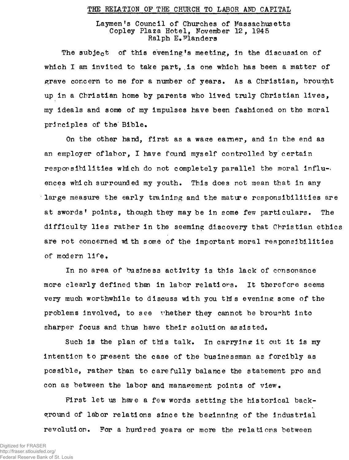## THE RELATION OF THE CHURCH TO LABOR AND CAPITAL

## Laymen's Council of Churches of Massachusetts Copley Plaza Hotel, November 12, 1945 Ralph *E.*Flanders

The subject of this evening's meeting, in the discussion of which I am invited to take part, is one which has been a matter of grave concern to me for a number of years. As a Christian, brought up in a Christian home by parents who lived truly Christian lives, my ideals and some of my impulses have been fashioned on the moral principles of the Bible.

On the other hand, first as a wage earner, and in the end as an employer of labor, I have found myself controlled by certain responsibilities which do not completely parallel the moral influences which surrounded my youth. This does not mean that in any large measure the early training and the mature responsibilities are at swords' points, though they may be in some few particulars. The difficulty lies rather in the seeming discovery that Christian ethics are not concerned with some of the important moral responsibilities of modern life.

In no area of business activity is this lack of consonance more clearly defined than in labor relatiors. It therefore seems very much worthwhile to discuss with you this evening some of the problems involved, to see whether they cannot be brought into sharper focus and thus have their solution assisted.

Such is the plan of this talk. In carrying it out it is my intention to present the case of the businessman as forcibly as possible, rather than to carefully balance the statement pro and con as between the labor and management points of view.

First let us have a few words setting the historical background of labor relations since the beginning of the industrial revolution. For a hundred years or more the relations between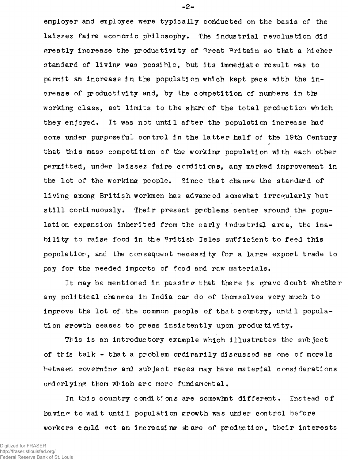employer and employee were typically conducted on the basis of the laissez faire economic philosophy. The industrial revoluation did greatly increase the productivity of <sup>4</sup>reat Britain so that a higher standard of living was possible. but its immediate result was to permit an increase in the population wbich kept pace with the increase of productivity and, by the competition of numbers in the working class, set limits to the share of the total production which they enjoyed. It was not until after the population increase had come under purposeful control in the latter half of the 19th Century that this mass competition of the working population with each other permitted, under laissez faire conditions, any marked improvement in the lot of the working people. Since that change the standard of living among British workmen has advanced scmewhat irregularly but still continuously. Their present problems center around the population expansion inherited from the early industrial area, the inability to raise food in the Pritish Isles sufficient to feed this population, and the consequent necessity for a large export trade to pay for the needed imports of food and raw materials.

It may be mentioned in passing that there is grave doubt whether any political changes in India can do of themselves very much to improve the lot of. the common people of that country, until population srrowth ceases to press insistently upon produc tivity.

This is an introductory example which illustrates the subject of this talk - that a problem ordinarily discussed as one of morals between governing and subject races may have material considerations underlying them which are more fundamental.

In this country conditions are somewhat different. Instead of having to wait until population growth was under control before workers could get an increasing share of production, their interests

-2-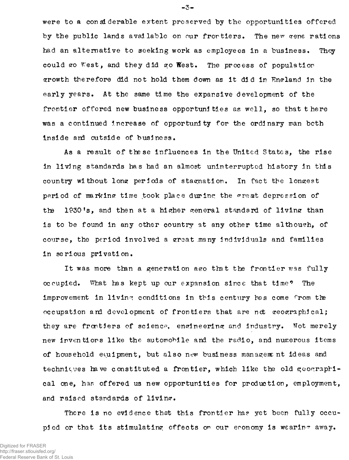were to a considerable extent preserved by the opportunities offered by the public lands available on our frortiers. The new zene rations had an alternative to seeking work as employees in a business. They could go West, and they did go West. The process of population growth therefore did not hold them down as it did in England in the early years. At the same time the expansive development of the frontier offered new business opportunities as well, so that there was a continued Increase of opportunity for the ordinary man both inside and outside of business.

As a result of these influences in the United States, the rise in living standards has had an almost uninterrupted history in this country without long periods of stagnation. In fact the longest period of marking time took place during the great depression of the 1930's, and then at a higher general standard of living thar is to be found in any other country at any other time although, of course, the period involved a great many individuals and families in serious privation.

It was more than a generation ago that the frontier was fully occupied. What has kept up our expansion since that time? The improvement in living conditions in this century has come from the occupation and development of frontiers that are not geographical; they are frontiers of science, engineering and industry. Not merely new inventions like the automobile and the radio, and numerous items of household equipment, but also new business management ideas and techniques have constituted a frontier, which like the old geographical one, has offered us new opportunities for production, employment, and raised standards of living.

There is no evidence that this frontier has yet been fully occupied or that its stimulating effects on our economy is wearing away.

-3-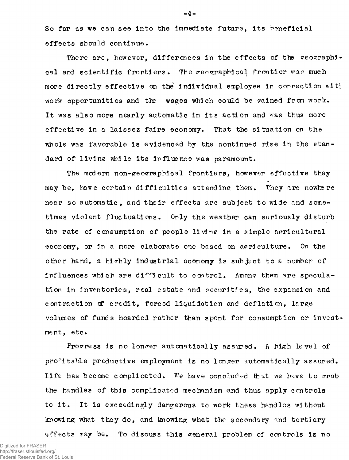So far as we can see into the immediate future, its beneficial effects should continue •

There are, however, differences in the effects of the geographical and scientific frontiers. The reographical frontier was much more directly effective on the individual employee in connection with work opportunities and the wages which could be rained from work. It was also more nearly automatic in its action and was thus more effective in a laissez faire economy. That the situation on the whole was favorable is evidenced by the continued rise in the standard of living while its influence was paramount.

The modern non-ereoorrapbieal frontiers, however effective they may be, have certain difficulties attending them. They are nowhere near so automatic, and their effects are subject to wide and sometimes violent fluctuations. Only the weather can seriously disturb the rate of consumption of people living in a simple agricultural economy, or in a more elaborate one based on agriculture. On the other hand, a highly industrial economy is subject to a number of influences which are difficult to control. Among them are speculation in inventories, real estate and securities, the expansion and contraction of credit, forced liquidation and deflation, large volumes of funds hoarded rather than spent for consumption or Investment,  $etc.$ 

Progress is no longer automatically assured. A high level of profitable productive employment is no longer automatically assured. Life has become complicated. We have concluded that we have to grab the handles of this complicated mechanism and thus apply controls to it . It is exceedingly dangerous to work these handles without knowing what they do, and knowing what the secondary and tertiary effects may be. To discuss this general problem of controls Is no

 $-4-$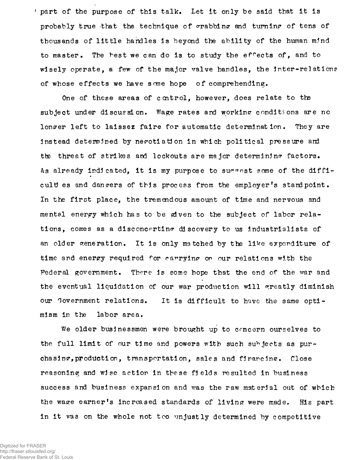part of the purpose of this talk. Let it only be said that it is probably true that the technique of  $\sigma$ rabbing and turning of tens of thousands of little handles is beyond the ability of the human mind to master • The best we can do is to study the effects of, and to wisely operate, a few of the major valve bandies, the Inter-relations of whose effects we have some hope of comprehending.

One of these areas of control, however, does relate to the subject under discussion. Wage rates and working conditions are no longer left to laissez faire for automatic determination. They are instead determined by negotiation in which political pressure and the threat of strikes and lockouts are major determining factors. As already indicated, it is my purpose to succest some of the difficult es and dangers of this process from the employer's stand point. In the first place, the tremendous amount of time and nervous and mental energy which has to be ejven to the subject of labor relations, comes as a disconcerting discovery to us industrialists of an older generation. It is only matched by the like expenditure of time and energy required for carrying on our relations with the Federal government. There is some hope that the end of the war and the eventual liquidation of our war production will greatly diminish our Government relations. It is difficult to have the same optimism in the labor area.

We older businessmen were brought up to concern ourselves to the full limit of our time and powers with such subjects as purchasing, production, transportation, sales and financing\* Close reasoning and wise action in these fields resulted in business success and business expansion and was the raw material out of which the wage earner's increased standards of living were made. His part in it was on the whole not too unjustly determined by competitive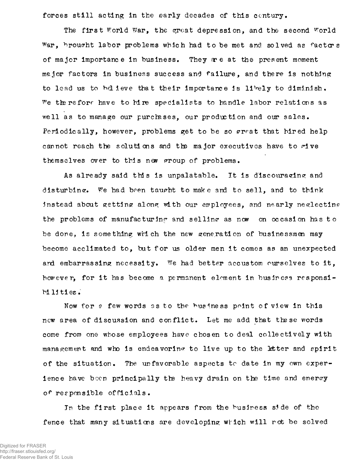forces still acting in the early decades of this century.

The first World War, the great depression, and the second World War, brought labor problems which had to be met and solved as factors of major importance in business. They great the present moment major factors in business success and failure, and there is nothing to lead us to believe that their importance is likely to diminish. We therefore have to hire specialists to handle labor relations as well as to manage our purchases, our production and our sales. Periodically, however, problems get to be so great that hired help cannot reach the solutions and the major executives have to rive themselves over to this new proup of problems.

As already said this is unpalatable. It is discouraging and disturbing. We had been taught to make and to sell, and to think instead about getting along with our employees, and nearly neglecting the problems of manufacturing and selling as now on occasion has to be done, is something which the new generation of businessmen may become acclimated to, but for us older men it comes as an unexpected ard embarrassing necessity. We had better accustom ourselves to it, however, for it has become a permanent element in business responsibilities.

Now for *e* few words as to the business point of view in this new area of discussion and conflict. Let me add that these words come from one whose employees have chosen to deal collectively with management and who is endeavoring to live up to the latter and spirit of the situation. The unfavorable aspects to date in my own experience have been principally the heavy drain on the time and energy of responsible officials.

In the first place it appears from the business side of the fence that many situations are developing which will rot be solved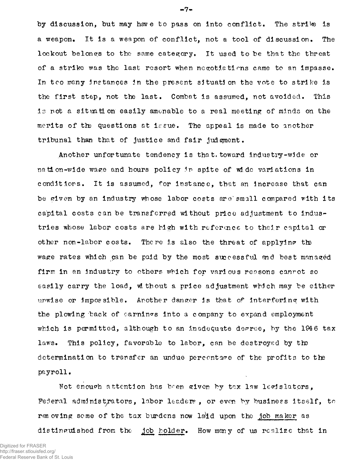by discussion, but may have to pass on into conflict. The strike is a weapon. It is a weapon of conflict, not a tool of discussion. The lockout belongs to the same category. It used to be that the threat of a strike was the last resort when negotiations came to an impasse. In too many instances in the present situation the vote to strike is the first step, not the last. Combat is assumed, not avoided. This is not a situation easily amenable to a real meeting of minds on the merits of the questions at issue. The appeal is made to another tribunal than that of justice and fair judgment.

Another unfortunate tendency is that, toward Industry-wide or nation-wide wage and hours policy ir spite of wide variations in conditiors. It is assumed, for instance, that an increase that can be given by an industry whose labor costs are small compared with its capital costs can be transferred without price adjustment to Industries whose labor costs are high with reference to their capital or other non-labor costs. There is also the threat of applying the wage rates which can be paid by the most successful and best managed firm in an industry to others which for various reasons cannot so easily carry the load, without a price adjustment which may be either unwise or impossible. Another danger is that of interfering with the plowing back of earnings into a company to expand employment which is permitted, although to an inadequate degree, by the 1946 tax laws. This policy, favorable to labor, can be destroyed by the determination to transfer an undue percentage of the profits to the payroll.

Not enough attention has been given by tax law legislators, Federal administrators, labor leaders, or even by business itself, to removing some of the tax burdens now *lalid* upon the job maker as distinguished from the job holder. How many of us realize that in

 $-7-$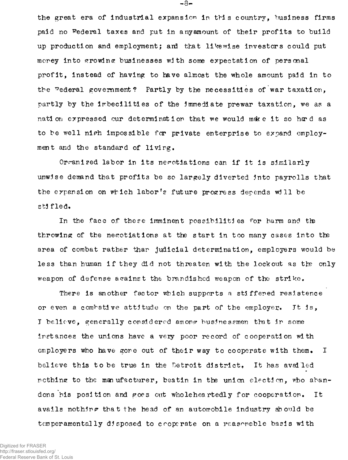the great era of industrial expansion in this country, business firms paid no federal taxes and put in anyamount of their profits to build up production and employment; ard that likewise investors could put merey into growing businesses with some expectation of personal profit, instead of having to have almost the whole amount paid in to the federal government? Partly by the necessities of war taxation, partly by the imbecilities of the immediate prewar taxation, we as a nation expressed our determination that we would make it so hard as to be well nigh impossible for private enterprise to expand employment and the standard of living.

Organized labor in its negotiations can if it is similarly unwise demand that profits be so largely diverted into payrolls that the expansion on which labor's future progress depends will be stifled.

In the face of these imminent possibilities for harm and the throwing of the negotiations at the start in too many cases into the area of combat rather thar judicial determination, employers would be less than human if they did not threaten with the lockout as the only weapon of defense against the brandished weapon of the strike.

There is another factor which supports a stiffened resistence or even a combative attitude on the part of the employer. It is, I believe, generally considered among businessmen that in some instances the unions have a very poor record of cooperation with employers who have gone out of their way to cooperate with them. I believe this to be true in the Detroit district. It has availed nothing to the manufacturer, beatin in the union election, who abandons his position and goes out wholeheartedly for cooperation. It avails nothing that the head of an automobile industry should be temperamentally disposed to croperate on a reasonable basis with

Digitized for FRASER http://fraser.stlouisfed.org/ Federal Reserve Bank of St. Louis  $-8-$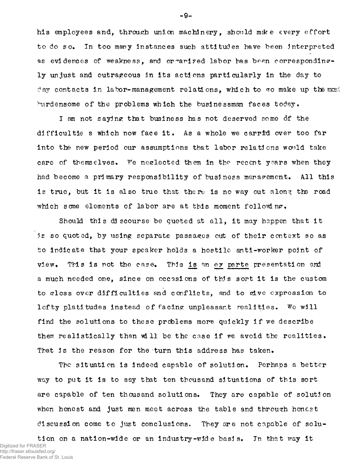his employees and, through union machinery, should make every effort to do so. In too many instances such attitudes have been interpreted as evidences of weakness, and or arized labor has been correspondingly unjust and outrageous in its actions particularly in the day to day contacts in labor-management relations, which to go make up the most burdensome of the problems which the businessman faces today,

I am not saying that business has not deserved some of the difficultie s which now face it. As a whole we carrid over too far into the new period our assumptions that labor relations would take care of themselves. We neglected them in the recent years when they had become a primary responsibility of business management. All this is true, but it is also true that there is no way out along the road which some elements of labor are at this moment following.

Should this discourse be quoted at all, it may happen that it *Is* so quoted, by using separate passages out of their context so as to indicate that your speaker holds a hostile anti-worker point of view. This is not the case. This is an exparte presentation and a much needed one, since on occasions of this sort it is the custom to gloss over difficulties and conflicts, and to give expression to lofty platitudes instead of facing unpleasant realities. Wo will find the solutions to these problems more quickly if we describe them realistically than will be the case if we avoid the realities. That is the reason for the turn this address has taken.

The situation is indeed capable of solution. Perhaps a better way to put it is to say that ten thousand situations of this sort are capable of ten thousand solutions. They are capable of solution when honest and just men meet across the table and through honest discussion come to just conclusions. They ore not cnpable of solution on a nation-wide or an industry-wid e basis. In that way it

Digitized for FRASER http://fraser.stlouisfed.org/ Federal Reserve Bank of St. Louis -9-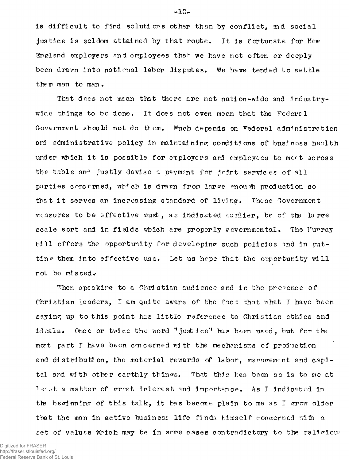is difficult to find solutions other than by conflict, and social justice is seldom attained by that route. It is fortunate for New England employers and employees that we have not often or deeply been drawn into national labor disputes. We have tended to settle them man to man.

That does not mean that there are not nation-wide and industrywide things to be done. It does not even mean that the Federal Government should not do them. Much depends on federal administration and administrative policy in maintaining conditions of business health under which it is possible for employers and employees to meet across the table and justly devise a payment for joint services of all parties concerned, which is drawn from large enough production so that it serves an increasing standard of living. These Government measures to be effective must, as indicated carlier, be of the large scale sort and in fields which are properly governmental. The Furray Pill offers the opportunity for developing such policies and in putting them into effective use. Let us hope that the orportunity will rot be missed.-

w hen speaking to a Christian audience and in the presence of Christian leaders, I am quite aware of the fact that what I have been saying up to this point has little reference to Christian ethics and ideals. Once or twice the word "justice" has been used, but for the mot part I have been concerned with the mechanisms of production and distribution, the material rewards of labor, maracement and capital and with other earthly things. That this has been so is to me at least a matter of great interest and importance. As J indicated in the beginning of this talk, it has become plain to me as I grow older that the man in active business life finds himself concerned with a set of values which may be in some cases contradictory to the religious

 $-10+$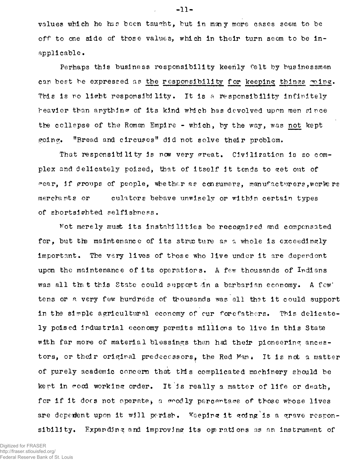values which he has been taught, but in many more cases seem to be off to one side of those values, which in their turn seem to be inapplicable.

Perhaps this business responsibility keenly felt by businessmen can best be expressed as the responsibility for keeping things wing. This is no light responsibility. It is a responsibility infinitely heavier than anything of its kind which has devolved upon men since the ccllepse of the Roman Empire - which, by the way, was not kept going. "Bread and circuses" did not solve their problem.

That responsibility is now very great. Civilization is so complex and delicately poised, that of itself it tends to get out of rear, if groups of people, whether as consumers, manufacturers, workers merchants or culators behave unwisely or within certain types of shortsighted selfishness.

Not merely must its instabilities be recognized and compensated for, but the maintenance of its structure as a whole is exceedingly important. The very lives of those who live under it are dependent upon the maintenance of its operations. A few thousands of Indians was all that this State could support in a barbarian economy. A few' tens or a very few hundreds of thousands was all that it could support in the simple agricultural economy of our forefathers. This delicately poised industrial economy permits millions to live in this State with far more of material blessings than had their pioneering ancestors, or their original predecessors, the Red Man. It is not a matter of purely academic concern that this complicated machinery should be kept in rood working order. It is really a matter of life or death. for if it does not operate, a  $\sigma$ odly percentage of those whose lives are deperient upon it will perish. Keeping it going is a grave responsibility. Expanding and improving its operations as an instrument of

Digitized for FRASER http://fraser.stlouisfed.org/ Federal Reserve Bank of St. Louis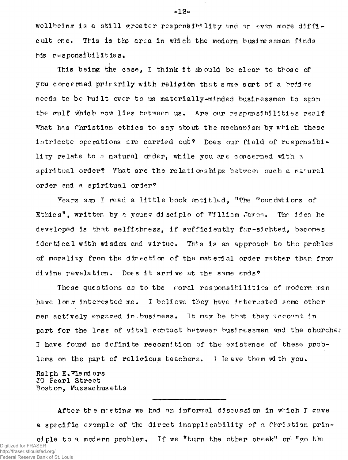g is a still greater responsibility and an even more difficult one. This is the area in which the modern businessman finds his responsibilities.

This being the case, I think it should be clear to those of you concerned primarily with religion that some sort of a bridge needs to be built over to us materially-minded businessmen to span the gulf which now lies between us. Are our responsibilities real? what has Christian ethics to say about the mechanism by which these intricate operations are carried out? Does our field of responsibility relate to a natural order, while you are concerned with a spiritual order? What are the relationships between such a natural order and a spiritual order?

Years ago I read a little book entitled, "The Foundations of Ethics", written by a yourge disciple of William Jares. The idea he developed is that selfishness, if sufflcieutly far-sichted, becones idertical with wisdom and virtue. This is an approach to the problem of morality from the direction of the material order rather than from divine revelation. Does it arrive at the same ends?

These questions as to the roral responsibilities of modern man have long interested me. I believe they have interested some other men actively engaged in business. It may be that they account in part for the loss of vital contact between businessmen and the churcher I have found no definite recognition of the existence of these problems on the part of religious teachers. I leave them with you.

Ralph E.Flanders 20 Pearl Street Boston, Massachusetts

After the meeting we had an informal discussion in which I gave a specific example of the direct inapplicability of a Christian principle to a modern problem. If we "turn the other cheek" or "go the

Digitized for FRASER http://fraser.stlouisfed.org/ Federal Reserve Bank of St. Louis  $-12-$